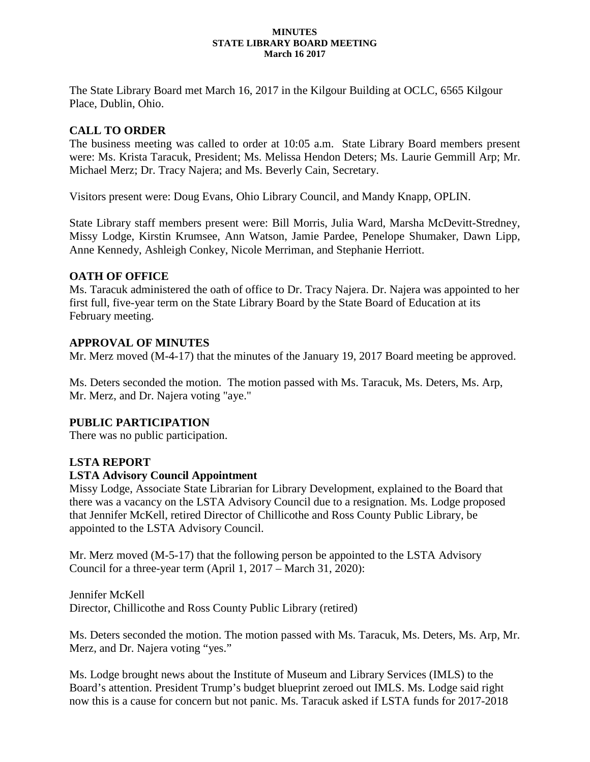#### **MINUTES STATE LIBRARY BOARD MEETING March 16 2017**

The State Library Board met March 16, 2017 in the Kilgour Building at OCLC, 6565 Kilgour Place, Dublin, Ohio.

## **CALL TO ORDER**

The business meeting was called to order at 10:05 a.m. State Library Board members present were: Ms. Krista Taracuk, President; Ms. Melissa Hendon Deters; Ms. Laurie Gemmill Arp; Mr. Michael Merz; Dr. Tracy Najera; and Ms. Beverly Cain, Secretary.

Visitors present were: Doug Evans, Ohio Library Council, and Mandy Knapp, OPLIN.

State Library staff members present were: Bill Morris, Julia Ward, Marsha McDevitt-Stredney, Missy Lodge, Kirstin Krumsee, Ann Watson, Jamie Pardee, Penelope Shumaker, Dawn Lipp, Anne Kennedy, Ashleigh Conkey, Nicole Merriman, and Stephanie Herriott.

### **OATH OF OFFICE**

Ms. Taracuk administered the oath of office to Dr. Tracy Najera. Dr. Najera was appointed to her first full, five-year term on the State Library Board by the State Board of Education at its February meeting.

### **APPROVAL OF MINUTES**

Mr. Merz moved (M-4-17) that the minutes of the January 19, 2017 Board meeting be approved.

Ms. Deters seconded the motion. The motion passed with Ms. Taracuk, Ms. Deters, Ms. Arp, Mr. Merz, and Dr. Najera voting "aye."

### **PUBLIC PARTICIPATION**

There was no public participation.

### **LSTA REPORT**

#### **LSTA Advisory Council Appointment**

Missy Lodge, Associate State Librarian for Library Development, explained to the Board that there was a vacancy on the LSTA Advisory Council due to a resignation. Ms. Lodge proposed that Jennifer McKell, retired Director of Chillicothe and Ross County Public Library, be appointed to the LSTA Advisory Council.

Mr. Merz moved (M-5-17) that the following person be appointed to the LSTA Advisory Council for a three-year term (April 1, 2017 – March 31, 2020):

Jennifer McKell Director, Chillicothe and Ross County Public Library (retired)

Ms. Deters seconded the motion. The motion passed with Ms. Taracuk, Ms. Deters, Ms. Arp, Mr. Merz, and Dr. Najera voting "yes."

Ms. Lodge brought news about the Institute of Museum and Library Services (IMLS) to the Board's attention. President Trump's budget blueprint zeroed out IMLS. Ms. Lodge said right now this is a cause for concern but not panic. Ms. Taracuk asked if LSTA funds for 2017-2018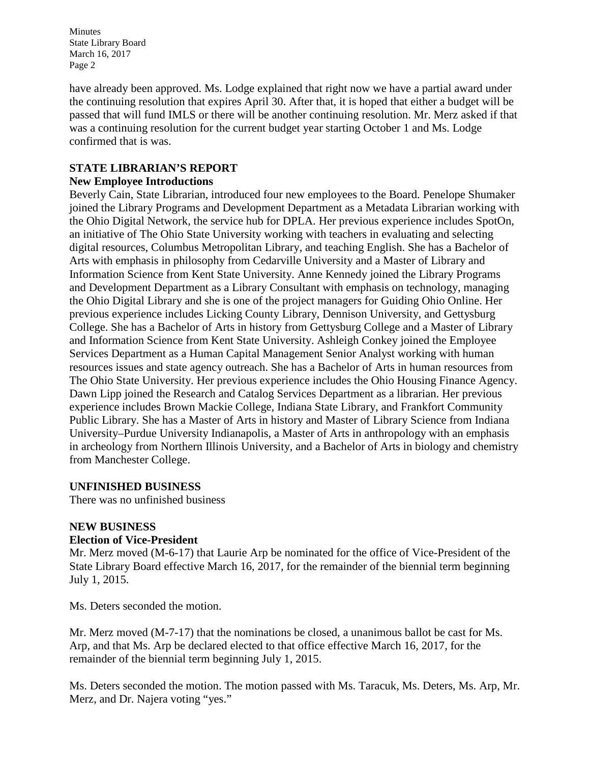have already been approved. Ms. Lodge explained that right now we have a partial award under the continuing resolution that expires April 30. After that, it is hoped that either a budget will be passed that will fund IMLS or there will be another continuing resolution. Mr. Merz asked if that was a continuing resolution for the current budget year starting October 1 and Ms. Lodge confirmed that is was.

## **STATE LIBRARIAN'S REPORT**

### **New Employee Introductions**

Beverly Cain, State Librarian, introduced four new employees to the Board. Penelope Shumaker joined the Library Programs and Development Department as a Metadata Librarian working with the Ohio Digital Network, the service hub for DPLA. Her previous experience includes SpotOn, an initiative of The Ohio State University working with teachers in evaluating and selecting digital resources, Columbus Metropolitan Library, and teaching English. She has a Bachelor of Arts with emphasis in philosophy from Cedarville University and a Master of Library and Information Science from Kent State University. Anne Kennedy joined the Library Programs and Development Department as a Library Consultant with emphasis on technology, managing the Ohio Digital Library and she is one of the project managers for Guiding Ohio Online. Her previous experience includes Licking County Library, Dennison University, and Gettysburg College. She has a Bachelor of Arts in history from Gettysburg College and a Master of Library and Information Science from Kent State University. Ashleigh Conkey joined the Employee Services Department as a Human Capital Management Senior Analyst working with human resources issues and state agency outreach. She has a Bachelor of Arts in human resources from The Ohio State University. Her previous experience includes the Ohio Housing Finance Agency. Dawn Lipp joined the Research and Catalog Services Department as a librarian. Her previous experience includes Brown Mackie College, Indiana State Library, and Frankfort Community Public Library. She has a Master of Arts in history and Master of Library Science from Indiana University–Purdue University Indianapolis, a Master of Arts in anthropology with an emphasis in archeology from Northern Illinois University, and a Bachelor of Arts in biology and chemistry from Manchester College.

### **UNFINISHED BUSINESS**

There was no unfinished business

#### **NEW BUSINESS Election of Vice-President**

Mr. Merz moved (M-6-17) that Laurie Arp be nominated for the office of Vice-President of the State Library Board effective March 16, 2017, for the remainder of the biennial term beginning July 1, 2015.

Ms. Deters seconded the motion.

Mr. Merz moved (M-7-17) that the nominations be closed, a unanimous ballot be cast for Ms. Arp, and that Ms. Arp be declared elected to that office effective March 16, 2017, for the remainder of the biennial term beginning July 1, 2015.

Ms. Deters seconded the motion. The motion passed with Ms. Taracuk, Ms. Deters, Ms. Arp, Mr. Merz, and Dr. Najera voting "yes."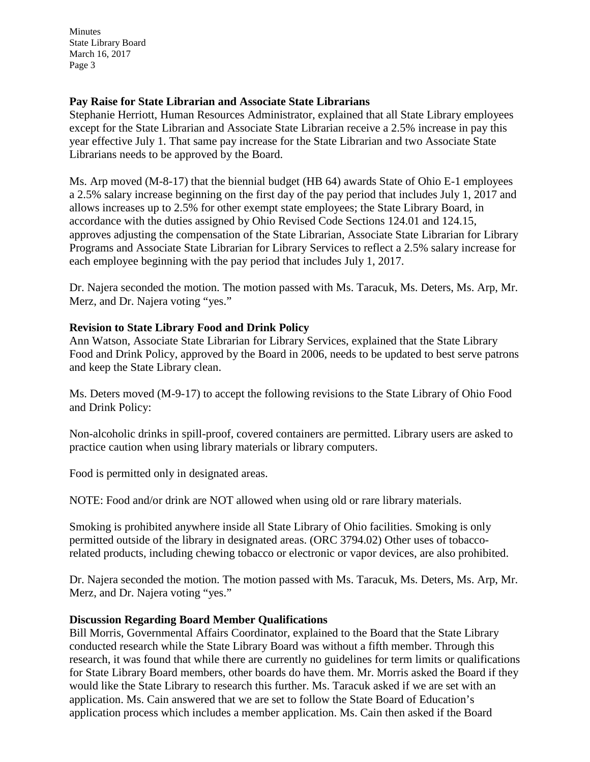#### **Pay Raise for State Librarian and Associate State Librarians**

Stephanie Herriott, Human Resources Administrator, explained that all State Library employees except for the State Librarian and Associate State Librarian receive a 2.5% increase in pay this year effective July 1. That same pay increase for the State Librarian and two Associate State Librarians needs to be approved by the Board.

Ms. Arp moved (M-8-17) that the biennial budget (HB 64) awards State of Ohio E-1 employees a 2.5% salary increase beginning on the first day of the pay period that includes July 1, 2017 and allows increases up to 2.5% for other exempt state employees; the State Library Board, in accordance with the duties assigned by Ohio Revised Code Sections 124.01 and 124.15, approves adjusting the compensation of the State Librarian, Associate State Librarian for Library Programs and Associate State Librarian for Library Services to reflect a 2.5% salary increase for each employee beginning with the pay period that includes July 1, 2017.

Dr. Najera seconded the motion. The motion passed with Ms. Taracuk, Ms. Deters, Ms. Arp, Mr. Merz, and Dr. Najera voting "yes."

### **Revision to State Library Food and Drink Policy**

Ann Watson, Associate State Librarian for Library Services, explained that the State Library Food and Drink Policy, approved by the Board in 2006, needs to be updated to best serve patrons and keep the State Library clean.

Ms. Deters moved (M-9-17) to accept the following revisions to the State Library of Ohio Food and Drink Policy:

Non-alcoholic drinks in spill-proof, covered containers are permitted. Library users are asked to practice caution when using library materials or library computers.

Food is permitted only in designated areas.

NOTE: Food and/or drink are NOT allowed when using old or rare library materials.

Smoking is prohibited anywhere inside all State Library of Ohio facilities. Smoking is only permitted outside of the library in designated areas. (ORC 3794.02) Other uses of tobaccorelated products, including chewing tobacco or electronic or vapor devices, are also prohibited.

Dr. Najera seconded the motion. The motion passed with Ms. Taracuk, Ms. Deters, Ms. Arp, Mr. Merz, and Dr. Najera voting "yes."

### **Discussion Regarding Board Member Qualifications**

Bill Morris, Governmental Affairs Coordinator, explained to the Board that the State Library conducted research while the State Library Board was without a fifth member. Through this research, it was found that while there are currently no guidelines for term limits or qualifications for State Library Board members, other boards do have them. Mr. Morris asked the Board if they would like the State Library to research this further. Ms. Taracuk asked if we are set with an application. Ms. Cain answered that we are set to follow the State Board of Education's application process which includes a member application. Ms. Cain then asked if the Board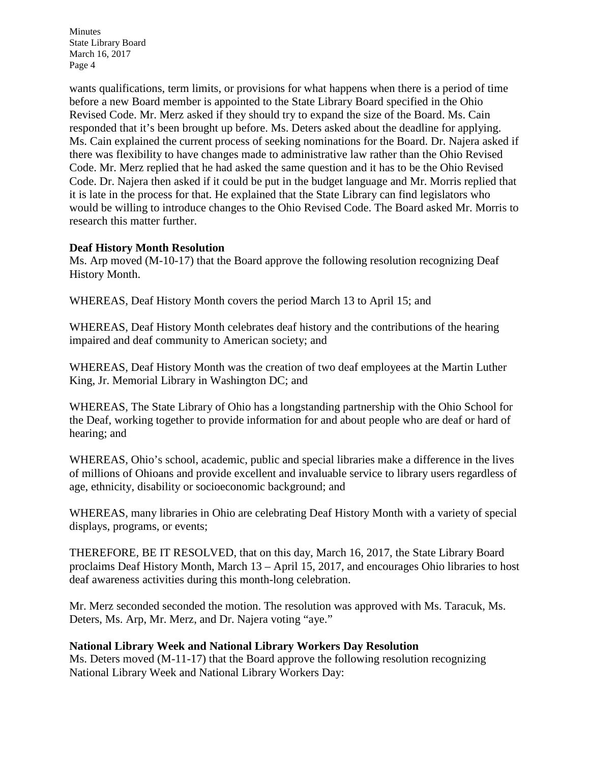wants qualifications, term limits, or provisions for what happens when there is a period of time before a new Board member is appointed to the State Library Board specified in the Ohio Revised Code. Mr. Merz asked if they should try to expand the size of the Board. Ms. Cain responded that it's been brought up before. Ms. Deters asked about the deadline for applying. Ms. Cain explained the current process of seeking nominations for the Board. Dr. Najera asked if there was flexibility to have changes made to administrative law rather than the Ohio Revised Code. Mr. Merz replied that he had asked the same question and it has to be the Ohio Revised Code. Dr. Najera then asked if it could be put in the budget language and Mr. Morris replied that it is late in the process for that. He explained that the State Library can find legislators who would be willing to introduce changes to the Ohio Revised Code. The Board asked Mr. Morris to research this matter further.

#### **Deaf History Month Resolution**

Ms. Arp moved (M-10-17) that the Board approve the following resolution recognizing Deaf History Month.

WHEREAS, Deaf History Month covers the period March 13 to April 15; and

WHEREAS, Deaf History Month celebrates deaf history and the contributions of the hearing impaired and deaf community to American society; and

WHEREAS, Deaf History Month was the creation of two deaf employees at the Martin Luther King, Jr. Memorial Library in Washington DC; and

WHEREAS, The State Library of Ohio has a longstanding partnership with the Ohio School for the Deaf, working together to provide information for and about people who are deaf or hard of hearing; and

WHEREAS, Ohio's school, academic, public and special libraries make a difference in the lives of millions of Ohioans and provide excellent and invaluable service to library users regardless of age, ethnicity, disability or socioeconomic background; and

WHEREAS, many libraries in Ohio are celebrating Deaf History Month with a variety of special displays, programs, or events;

THEREFORE, BE IT RESOLVED, that on this day, March 16, 2017, the State Library Board proclaims Deaf History Month, March 13 – April 15, 2017, and encourages Ohio libraries to host deaf awareness activities during this month-long celebration.

Mr. Merz seconded seconded the motion. The resolution was approved with Ms. Taracuk, Ms. Deters, Ms. Arp, Mr. Merz, and Dr. Najera voting "aye."

### **National Library Week and National Library Workers Day Resolution**

Ms. Deters moved (M-11-17) that the Board approve the following resolution recognizing National Library Week and National Library Workers Day: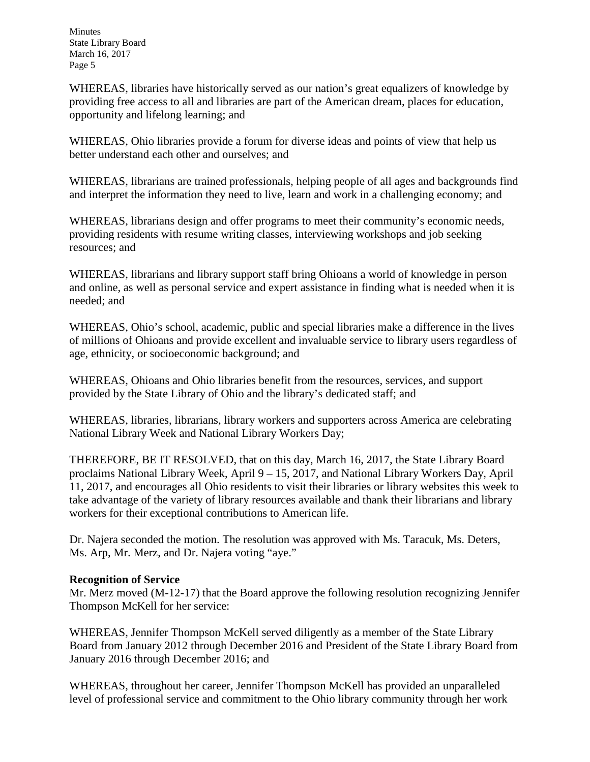WHEREAS, libraries have historically served as our nation's great equalizers of knowledge by providing free access to all and libraries are part of the American dream, places for education, opportunity and lifelong learning; and

WHEREAS, Ohio libraries provide a forum for diverse ideas and points of view that help us better understand each other and ourselves; and

WHEREAS, librarians are trained professionals, helping people of all ages and backgrounds find and interpret the information they need to live, learn and work in a challenging economy; and

WHEREAS, librarians design and offer programs to meet their community's economic needs, providing residents with resume writing classes, interviewing workshops and job seeking resources; and

WHEREAS, librarians and library support staff bring Ohioans a world of knowledge in person and online, as well as personal service and expert assistance in finding what is needed when it is needed; and

WHEREAS, Ohio's school, academic, public and special libraries make a difference in the lives of millions of Ohioans and provide excellent and invaluable service to library users regardless of age, ethnicity, or socioeconomic background; and

WHEREAS, Ohioans and Ohio libraries benefit from the resources, services, and support provided by the State Library of Ohio and the library's dedicated staff; and

WHEREAS, libraries, librarians, library workers and supporters across America are celebrating National Library Week and National Library Workers Day;

THEREFORE, BE IT RESOLVED, that on this day, March 16, 2017, the State Library Board proclaims National Library Week, April 9 – 15, 2017, and National Library Workers Day, April 11, 2017, and encourages all Ohio residents to visit their libraries or library websites this week to take advantage of the variety of library resources available and thank their librarians and library workers for their exceptional contributions to American life.

Dr. Najera seconded the motion. The resolution was approved with Ms. Taracuk, Ms. Deters, Ms. Arp, Mr. Merz, and Dr. Najera voting "aye."

### **Recognition of Service**

Mr. Merz moved (M-12-17) that the Board approve the following resolution recognizing Jennifer Thompson McKell for her service:

WHEREAS, Jennifer Thompson McKell served diligently as a member of the State Library Board from January 2012 through December 2016 and President of the State Library Board from January 2016 through December 2016; and

WHEREAS, throughout her career, Jennifer Thompson McKell has provided an unparalleled level of professional service and commitment to the Ohio library community through her work